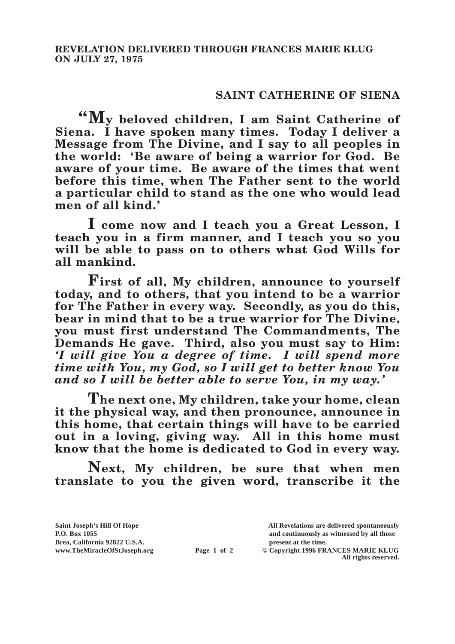## **SAINT CATHERINE OF SIENA**

**"My beloved children, I am Saint Catherine of Siena. I have spoken many times. Today I deliver a Message from The Divine, and I say to all peoples in the world: 'Be aware of being a warrior for God. Be aware of your time. Be aware of the times that went before this time, when The Father sent to the world a particular child to stand as the one who would lead men of all kind.'**

**I come now and I teach you a Great Lesson, I teach you in a firm manner, and I teach you so you will be able to pass on to others what God Wills for all mankind.**

**First of all, My children, announce to yourself today, and to others, that you intend to be a warrior for The Father in every way. Secondly, as you do this, bear in mind that to be a true warrior for The Divine, you must first understand The Commandments, The Demands He gave. Third, also you must say to Him:**  *'I will give You a degree of time. I will spend more time with You, my God, so I will get to better know You and so I will be better able to serve You, in my way.'*

**The next one, My children, take your home, clean it the physical way, and then pronounce, announce in this home, that certain things will have to be carried out in a loving, giving way. All in this home must know that the home is dedicated to God in every way.**

**Next, My children, be sure that when men translate to you the given word, transcribe it the** 

**Saint Joseph's Hill Of Hope All Revelations are delivered spontaneously P.O. Box 1055 and continuously as witnessed by all those Brea, California 92822 U.S.A. present at the time.**<br> **present at the time.**<br> **present at the time.**<br> **present at the time.**<br> **present at the time.**<br> **present at the time. Page 1 of 2** © Copyright 1996 FRANCES MARIE KLUG **All rights reserved.**